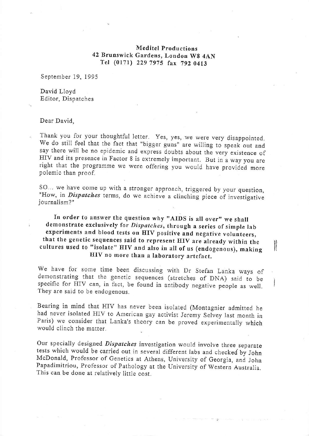## Meditel productions 42 Brunswick Gardens, London Wg 4AN Tel (0171) 229 7975 fax 792 0413

September 19. 1995

David Lloyd Editor, Dispatches

## Dear David,

Thank you for your thoughtful letter. yes, yes, we were very disappointed. We do still feel that the fact that "bigger guns" are willing to speak out and say there will be no epidemic and express doubts about the very existence of HIV and its presence in Factor 8 is extremely important. But in a way you are right that the programme we were offering you would have provided more polemic than proof.

SO... we have come up with a stronger approach, triggered by your question, "How, in *Dispatches* terms, do we achieve a clinching piece of investigative journalism?"

In order to answer the question why "AIDS is all over" we shall demonstrate exclusively for Dispatches, through a series of simple lab experiments and blood tests on HIV positive and negative volunteers, that the genetic sequences said to represent HIV are already within the cultures used to "isolate" HIV and also in all of us (endogenous), making HIV no more than a laboratory artefact,

II

We have for some time been discussing with Dr Stefan Lanka ways of demonstrating that the genetic sequences (stretches of DNA) said to be specific for HIV can, in fact, be found in antibody negative people as well, They are said to be endogenous.

Bearing in mind that HIV has never been isolated (Montagnier admitted he Paris) we consider that Lanka's theory can be proved experimentally which would clinch the matter.

Our specially designed Dispatches investigation would involve three separate tests which would be carried out in several different labs and checked by John McDonald, Professor of Genetics at Athens, University of Georgia, and John Papadimitriou, Professor of pathology at the University of Western Australia. This can be done at relatively little cost.